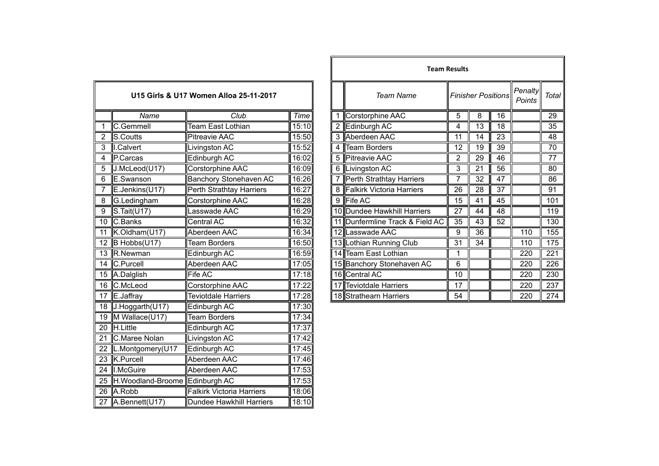|                |                                    | U15 Girls & U17 Women Alloa 25-11-2017 |       |                             | <b>Team Name</b>                |                 | <b>Finisher Positions</b> |                 |  |
|----------------|------------------------------------|----------------------------------------|-------|-----------------------------|---------------------------------|-----------------|---------------------------|-----------------|--|
|                | Name                               | Club                                   | Time  |                             | 1 Corstorphine AAC              | 5               | 8                         | 16              |  |
|                | C.Gemmell                          | Team East Lothian                      | 15:10 |                             | 2 Edinburgh AC                  | 4               | 13                        | 18              |  |
| $\overline{2}$ | S.Coutts                           | <b>Pitreavie AAC</b>                   | 15:50 |                             | 3 Aberdeen AAC                  | 11              | 14                        | 23              |  |
| 3              | I.Calvert                          | Livingston AC                          | 15:52 | 4                           | <b>Team Borders</b>             | 12              | 19                        | $\overline{39}$ |  |
| 4              | P.Carcas                           | Edinburgh AC                           | 16:02 |                             | 5 Pitreavie AAC                 | 2               | 29                        | 46              |  |
| 5              | J.McLeod(U17)                      | <b>Corstorphine AAC</b>                | 16:09 |                             | 6 Livingston AC                 | 3               | 21                        | 56              |  |
| 6              | E.Swanson                          | <b>Banchory Stonehaven AC</b>          | 16:26 |                             | 7 Perth Strathtay Harriers      | 7               | 32                        | 47              |  |
| 7              | E.Jenkins(U17)                     | Perth Strathtay Harriers               | 16:27 | 8 Falkirk Victoria Harriers |                                 | 26              | 28                        | 37              |  |
| 8              | G.Ledingham                        | Corstorphine AAC                       | 16:28 |                             | 9 Fife AC                       | 15              | 41                        | 45              |  |
| 9              | S.Tait(U17)                        | Lasswade AAC                           | 16:29 |                             | 10 Dundee Hawkhill Harriers     | 27              | 44                        | 48              |  |
| 10             | C.Banks                            | Central AC                             | 16:32 |                             | 11 Dunfermline Track & Field AC | 35              | 43                        | 52              |  |
| 11             | $K.$ Oldham $(U17)$                | Aberdeen AAC                           | 16:34 |                             | 12 Lasswade AAC                 | 9               | $\overline{36}$           |                 |  |
| 12             | B Hobbs(U17)                       | <b>Team Borders</b>                    | 16:50 |                             | 13 Lothian Running Club         | 31              | 34                        |                 |  |
|                | 13 R.Newman                        | Edinburgh AC                           | 16:59 |                             | 14 Team East Lothian            | 1               |                           |                 |  |
|                | 14 C.Purcell                       | Aberdeen AAC                           | 17:05 |                             | 15 Banchory Stonehaven AC       | 6               |                           |                 |  |
|                | 15 A.Dalglish                      | Fife $AC$                              | 17:18 |                             | 16 Central AC                   | $\overline{10}$ |                           |                 |  |
|                | 16 C.McLeod                        | Corstorphine AAC                       | 17:22 | 17 Teviotdale Harriers      |                                 | 17              |                           |                 |  |
|                | 17 E.Jaffray                       | <b>Teviotdale Harriers</b>             | 17:28 |                             | 18 Strathearn Harriers          | 54              |                           |                 |  |
|                | 18 J.Hoggarth(U17)                 | Edinburgh AC                           | 17:30 |                             |                                 |                 |                           |                 |  |
|                | 19 M Wallace(U17)                  | <b>Team Borders</b>                    | 17:34 |                             |                                 |                 |                           |                 |  |
|                | 20 H.Little                        | Edinburgh AC                           | 17:37 |                             |                                 |                 |                           |                 |  |
| 21             | C.Maree Nolan                      | Livingston AC                          | 17:42 |                             |                                 |                 |                           |                 |  |
|                | 22  L.Montgomery(U17               | Edinburgh AC                           | 17:45 |                             |                                 |                 |                           |                 |  |
|                | 23 K.Purcell                       | Aberdeen AAC                           | 17:46 |                             |                                 |                 |                           |                 |  |
|                | 24   I.McGuire                     | Aberdeen AAC                           | 17:53 |                             |                                 |                 |                           |                 |  |
|                | 25 H. Woodland-Broome Edinburgh AC |                                        | 17:53 |                             |                                 |                 |                           |                 |  |
|                | 26 A.Robb                          | <b>Falkirk Victoria Harriers</b>       | 18:06 |                             |                                 |                 |                           |                 |  |
| 27             | A.Bennett(U17)                     | Dundee Hawkhill Harriers               | 18:10 |                             |                                 |                 |                           |                 |  |

|                                        |                                          |                               |             | <b>Team Results</b> |                                        |    |    |    |                   |                  |  |
|----------------------------------------|------------------------------------------|-------------------------------|-------------|---------------------|----------------------------------------|----|----|----|-------------------|------------------|--|
| U15 Girls & U17 Women Alloa 25-11-2017 |                                          |                               |             |                     | <b>Finisher Positions</b><br>Team Name |    |    |    | Penalty<br>Points | <b>Total</b>     |  |
|                                        | Name                                     | Club                          | <b>Time</b> |                     | Corstorphine AAC                       | 5  | 8  | 16 |                   | 29               |  |
|                                        | C.Gemmell                                | <b>Team East Lothian</b>      | 15:10       | $\overline{2}$      | Edinburgh AC                           | 4  | 13 | 18 |                   | 35               |  |
|                                        | S.Coutts                                 | <b>Pitreavie AAC</b>          | 15:50       | 3                   | Aberdeen AAC                           | 11 | 14 | 23 |                   | 48               |  |
|                                        | .Calvert                                 | Livingston AC                 | 15:52       | 4                   | <b>Team Borders</b>                    | 12 | 19 | 39 |                   | 70               |  |
| 4                                      | P.Carcas                                 | Edinburgh AC                  | 16:02       | 5                   | <b>Pitreavie AAC</b>                   | 2  | 29 | 46 |                   | 77               |  |
| 5                                      | J.McLeod(U17)                            | Corstorphine AAC              | 16:09       | 6                   | Livingston AC                          | 3  | 21 | 56 |                   | 80               |  |
| 6                                      | E.Swanson                                | <b>Banchory Stonehaven AC</b> | 16:26       |                     | Perth Strathtay Harriers               |    | 32 | 47 |                   | 86               |  |
|                                        | E.Jenkins(U17)                           | Perth Strathtay Harriers      | 16:27       | 8                   | <b>Falkirk Victoria Harriers</b>       | 26 | 28 | 37 |                   | 91               |  |
| 8                                      | G.Ledingham                              | Corstorphine AAC              | 16:28       | 9                   | Fife AC                                | 15 | 41 | 45 |                   | 101              |  |
| $\overline{9}$                         | $\mathsf{S}.\mathsf{Tait}(\mathsf{U17})$ | Lasswade AAC                  | 16:29       |                     | 10 Dundee Hawkhill Harriers            | 27 | 44 | 48 |                   | 119              |  |
|                                        | 10 C.Banks                               | Central AC                    | 16:32       |                     | 11 Dunfermline Track & Field AC        | 35 | 43 | 52 |                   | 130              |  |
|                                        | 11 K.Oldham(U17)                         | Aberdeen AAC                  | 16:34       |                     | 12 Lasswade AAC                        | 9  | 36 |    | 110               | 155              |  |
|                                        | 12 $\overline{B}$ Hobbs(U17)             | <b>Team Borders</b>           | 16:50       |                     | 13 Lothian Running Club                | 31 | 34 |    | 110               | 175              |  |
|                                        | 13 R.Newman                              | Edinburgh AC                  | 16:59       |                     | 14 Team East Lothian                   |    |    |    | 220               | 221              |  |
|                                        | 14 C.Purcell                             | Aberdeen AAC                  | 17:05       |                     | 15 Banchory Stonehaven AC              | 6  |    |    | 220               | $\overline{226}$ |  |
|                                        | 15 A.Dalglish                            | <b>Fife AC</b>                | 17:18       |                     | 16 Central AC                          | 10 |    |    | 220               | 230              |  |
|                                        | 16 C.McLeod                              | Corstorphine AAC              | 17:22       |                     | 17 Teviotdale Harriers                 | 17 |    |    | 220               | 237              |  |
|                                        | 17 E.Jaffray                             | <b>Teviotdale Harriers</b>    | 17:28       |                     | 18 Strathearn Harriers                 | 54 |    |    | 220               | 274              |  |